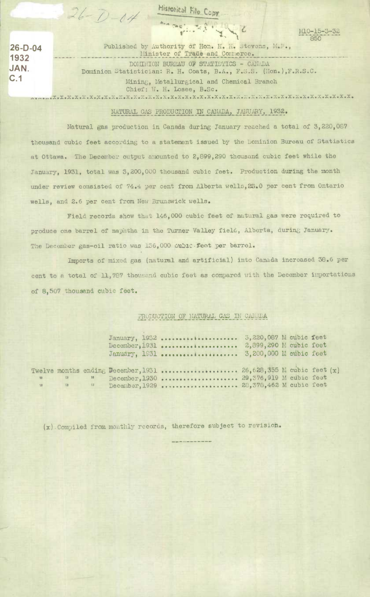**•** 

**26-D-04 1932 JAN.** 

**1**  $\frac{100-15-3}{850}$ C.1 Mining, Metallurgical and Chemical Branch Chief: W. H. Loses, B.Sc. .'. .x .x.x.x.:.x .x .x.x.x.x .x.x. x **• x.x** .x • x .x.x • x .: .x • : .x. :. x .x • x.x • x. x • **x .x.** x .x. Published by Authority of Hon. H. H. Stevens, M.P., Minister of Trade and Conmerce. DOMINION BUREAU OF STATISTICS - CANADA Dominion Statistician: R. H. Coats, B.A., F.S.S. (Hon.),F.R.S.C.

## NATURAL GAS PRODUCTION IN CANADA, JANUARY, 1932.

Natural gas production in Canada during January reached a total of 3,220,067 thousand cubic feet according to a statement issued by the Dominion Bureau of Statistics at Ottawa. The December output amounted to 2,899,290 thousand cubic feet while the January, 1931, total was 3,200,000 thousand cubic feet. Production during the month under review consisted of 74.4 per cent from Alberta wells, 23.0 per cent from Ontario wells, and 2.6 per cent from New Brunswick wells.

Field records show that 146,000 cubic feet of natural gas were required to produce one barrel of naphtha in the Turner Valley field, Alberta, during January. The December gas-oil ratio was 136,000 ouble. feet per barrel.

Imports of mixed gas (natural and artificial) into Canada increased 38.6 per cent to a total of 11,787 thousand cubic feet as compared with the December importations of 8,507 thousand cubic feet.

## PRODUCTION OF NATURAL GAS IN CANADA

|                     |                     |                        | January, 1932  5,220,087 M cubic feet<br>$December_4 1931$<br>January, 1931  3,200,000 M cubic feet                                                        | 2,899,290 M cubic feet |  |  |
|---------------------|---------------------|------------------------|------------------------------------------------------------------------------------------------------------------------------------------------------------|------------------------|--|--|
| <b>VE</b><br>$52 -$ | $\frac{1}{2}$<br>52 | $\mathbf{H}$<br>$57 -$ | Twelve months ending December, 1931  26,628,355 M cubic feet $(x)$<br>December, 1930  29,376,919 M cubic feet<br>December, 1929  28, 378, 462 M cubic feet |                        |  |  |

(x).Compiled from monthly records, therefore subject to revision.